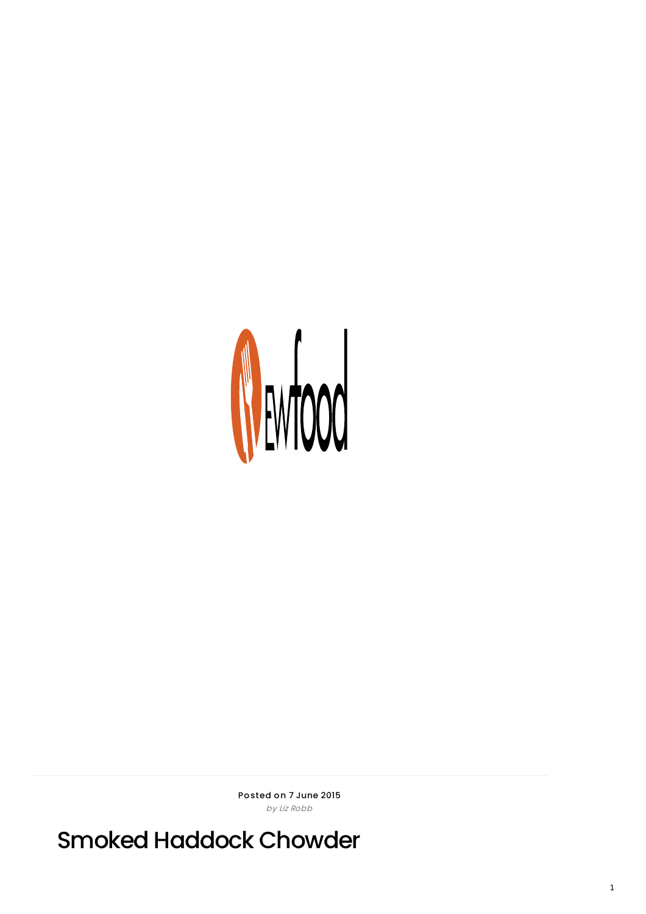

Posted on 7 June 2015 by Liz Robb

Smoked Haddock Chowder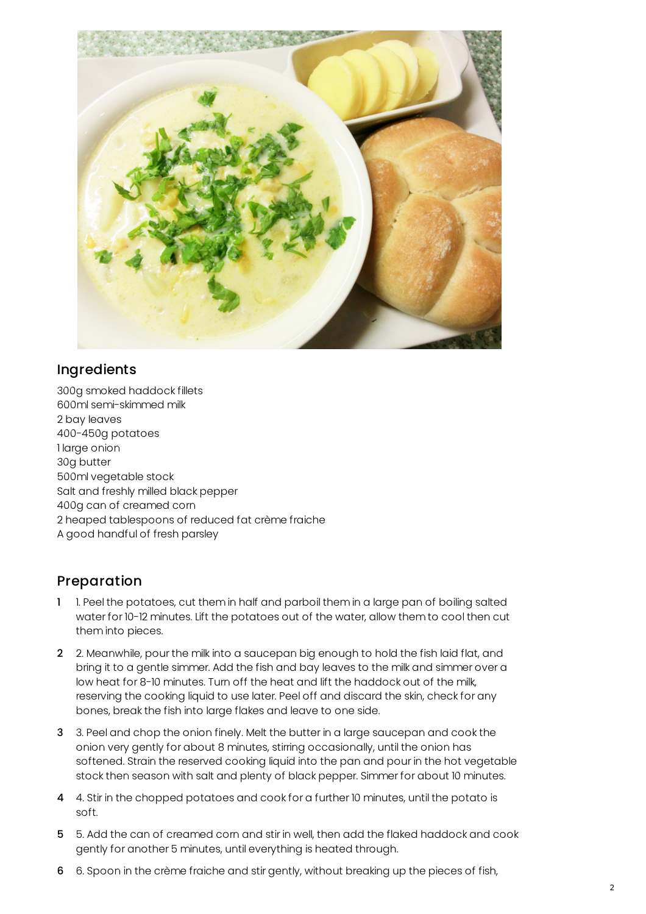

## Ingredients

300g smoked haddock fillets 600ml semi-skimmed milk 2 bay leaves 400-450g potatoes 1 large onion 30g butter 500ml vegetable stock Salt and freshly milled black pepper 400g can of creamed corn 2 heaped tablespoons of reduced fat crème fraiche A good handful of fresh parsley

## Preparation

- 1 1. Peel the potatoes, cut them in half and parboil them in a large pan of boiling salted water for 10-12 minutes. Lift the potatoes out of the water, allow them to cool then cut them into pieces.
- 2 2. Meanwhile, pour the milk into a saucepan big enough to hold the fish laid flat, and bring it to a gentle simmer. Add the fish and bay leaves to the milk and simmer over a low heat for 8-10 minutes. Turn off the heat and lift the haddock out of the milk, reserving the cooking liquid to use later. Peel off and discard the skin, check for any bones, break the fish into large flakes and leave to one side.
- 3 3. Peel and chop the onion finely. Melt the butter in a large saucepan and cook the onion very gently for about 8 minutes, stirring occasionally, until the onion has softened. Strain the reserved cooking liquid into the pan and pour in the hot vegetable stock then season with salt and plenty of black pepper. Simmer for about 10 minutes.
- 4 4. Stir in the chopped potatoes and cook for a further 10 minutes, until the potato is soft.
- 5 5. Add the can of creamed corn and stir in well, then add the flaked haddock and cook gently for another 5 minutes, until everything is heated through.
- 6 6. Spoon in the crème fraiche and stir gently, without breaking up the pieces of fish,